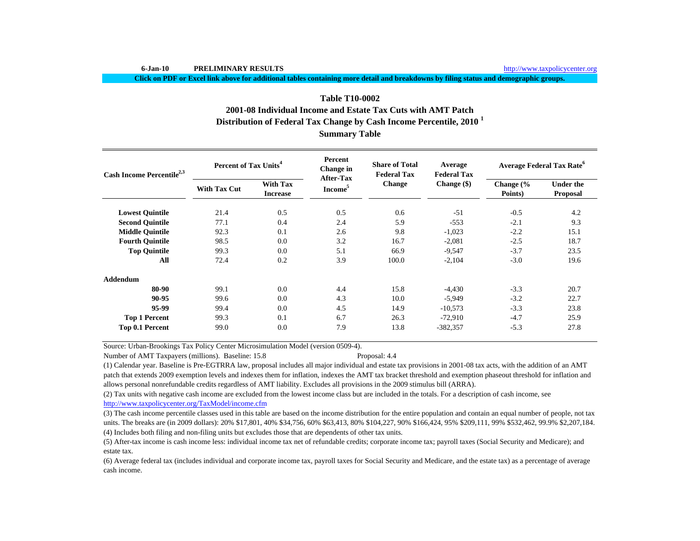**Click on PDF or Excel link above for additional tables containing more detail and breakdowns by filing status and demographic groups.**

# **Distribution of Federal Tax Change by Cash Income Percentile, 2010 <sup>1</sup> Summary Table Table T10-00022001-08 Individual Income and Estate Tax Cuts with AMT Patch**

| Cash Income Percentile <sup>2,3</sup> | <b>Percent of Tax Units<sup>4</sup></b> |                                    | Percent<br>Change in<br><b>After-Tax</b> | <b>Share of Total</b><br><b>Federal Tax</b> | Average<br><b>Federal Tax</b> | Average Federal Tax Rate <sup>6</sup> |                                     |  |
|---------------------------------------|-----------------------------------------|------------------------------------|------------------------------------------|---------------------------------------------|-------------------------------|---------------------------------------|-------------------------------------|--|
|                                       | <b>With Tax Cut</b>                     | <b>With Tax</b><br><b>Increase</b> | Income <sup>5</sup>                      | <b>Change</b>                               | Change $(\$)$                 | Change $\frac{6}{6}$<br>Points)       | <b>Under the</b><br><b>Proposal</b> |  |
| <b>Lowest Quintile</b>                | 21.4                                    | 0.5                                | 0.5                                      | 0.6                                         | $-51$                         | $-0.5$                                | 4.2                                 |  |
| <b>Second Quintile</b>                | 77.1                                    | 0.4                                | 2.4                                      | 5.9                                         | $-553$                        | $-2.1$                                | 9.3                                 |  |
| <b>Middle Quintile</b>                | 92.3                                    | 0.1                                | 2.6                                      | 9.8                                         | $-1,023$                      | $-2.2$                                | 15.1                                |  |
| <b>Fourth Quintile</b>                | 98.5                                    | 0.0                                | 3.2                                      | 16.7                                        | $-2,081$                      | $-2.5$                                | 18.7                                |  |
| <b>Top Quintile</b>                   | 99.3                                    | 0.0                                | 5.1                                      | 66.9                                        | $-9,547$                      | $-3.7$                                | 23.5                                |  |
| All                                   | 72.4                                    | 0.2                                | 3.9                                      | 100.0                                       | $-2,104$                      | $-3.0$                                | 19.6                                |  |
| <b>Addendum</b>                       |                                         |                                    |                                          |                                             |                               |                                       |                                     |  |
| 80-90                                 | 99.1                                    | 0.0                                | 4.4                                      | 15.8                                        | $-4,430$                      | $-3.3$                                | 20.7                                |  |
| 90-95                                 | 99.6                                    | 0.0                                | 4.3                                      | 10.0                                        | $-5,949$                      | $-3.2$                                | 22.7                                |  |
| 95-99                                 | 99.4                                    | 0.0                                | 4.5                                      | 14.9                                        | $-10,573$                     | $-3.3$                                | 23.8                                |  |
| <b>Top 1 Percent</b>                  | 99.3                                    | 0.1                                | 6.7                                      | 26.3                                        | $-72,910$                     | $-4.7$                                | 25.9                                |  |
| Top 0.1 Percent                       | 99.0                                    | 0.0                                | 7.9                                      | 13.8                                        | $-382,357$                    | $-5.3$                                | 27.8                                |  |

Source: Urban-Brookings Tax Policy Center Microsimulation Model (version 0509-4).

Number of AMT Taxpayers (millions). Baseline: 15.8 Proposal: 4.4

(1) Calendar year. Baseline is Pre-EGTRRA law, proposal includes all major individual and estate tax provisions in 2001-08 tax acts, with the addition of an AMT patch that extends 2009 exemption levels and indexes them for inflation, indexes the AMT tax bracket threshold and exemption phaseout threshold for inflation and allows personal nonrefundable credits regardless of AMT liability. Excludes all provisions in the 2009 stimulus bill (ARRA).

(2) Tax units with negative cash income are excluded from the lowest income class but are included in the totals. For a description of cash income, see http://www.taxpolicycenter.org/TaxModel/income.cfm

(4) Includes both filing and non-filing units but excludes those that are dependents of other tax units. (3) The cash income percentile classes used in this table are based on the income distribution for the entire population and contain an equal number of people, not tax units. The breaks are (in 2009 dollars): 20% \$17,801, 40% \$34,756, 60% \$63,413, 80% \$104,227, 90% \$166,424, 95% \$209,111, 99% \$532,462, 99.9% \$2,207,184.

(5) After-tax income is cash income less: individual income tax net of refundable credits; corporate income tax; payroll taxes (Social Security and Medicare); and estate tax.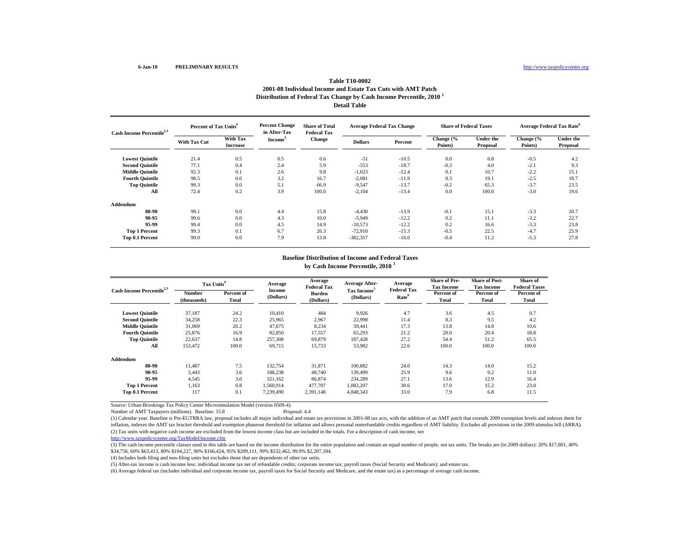### **Distribution of Federal Tax Change by Cash Income Percentile, 2010 <sup>1</sup> Detail TableTable T10-00022001-08 Individual Income and Estate Tax Cuts with AMT Patch**

| Cash Income Percentile <sup>2,3</sup> | Percent of Tax Units <sup>4</sup> |                                    | <b>Percent Change</b><br>in After-Tax | <b>Share of Total</b><br><b>Federal Tax</b> | <b>Average Federal Tax Change</b> |         | <b>Share of Federal Taxes</b> |                       | <b>Average Federal Tax Rate<sup>6</sup></b> |                       |
|---------------------------------------|-----------------------------------|------------------------------------|---------------------------------------|---------------------------------------------|-----------------------------------|---------|-------------------------------|-----------------------|---------------------------------------------|-----------------------|
|                                       | <b>With Tax Cut</b>               | <b>With Tax</b><br><b>Increase</b> | Income <sup>3</sup>                   | <b>Change</b>                               | <b>Dollars</b>                    | Percent | Change (%<br>Points)          | Under the<br>Proposal | Change (%<br>Points)                        | Under the<br>Proposal |
| <b>Lowest Quintile</b>                | 21.4                              | 0.5                                | 0.5                                   | 0.6                                         | $-51$                             | $-10.5$ | 0.0                           | 0.8                   | $-0.5$                                      | 4.2                   |
| <b>Second Quintile</b>                | 77.1                              | 0.4                                | 2.4                                   | 5.9                                         | $-553$                            | $-18.7$ | $-0.3$                        | 4.0                   | $-2.1$                                      | 9.3                   |
| <b>Middle Quintile</b>                | 92.3                              | 0.1                                | 2.6                                   | 9.8                                         | $-1,023$                          | $-12.4$ | 0.1                           | 10.7                  | $-2.2$                                      | 15.1                  |
| <b>Fourth Quintile</b>                | 98.5                              | 0.0                                | 3.2                                   | 16.7                                        | $-2,081$                          | $-11.9$ | 0.3                           | 19.1                  | $-2.5$                                      | 18.7                  |
| <b>Top Quintile</b>                   | 99.3                              | 0.0                                | 5.1                                   | 66.9                                        | $-9,547$                          | $-13.7$ | $-0.2$                        | 65.3                  | $-3.7$                                      | 23.5                  |
| All                                   | 72.4                              | 0.2                                | 3.9                                   | 100.0                                       | $-2,104$                          | $-13.4$ | 0.0                           | 100.0                 | $-3.0$                                      | 19.6                  |
| Addendum                              |                                   |                                    |                                       |                                             |                                   |         |                               |                       |                                             |                       |
| 80-90                                 | 99.1                              | 0.0                                | 4.4                                   | 15.8                                        | $-4,430$                          | $-13.9$ | $-0.1$                        | 15.1                  | $-3.3$                                      | 20.7                  |
| 90-95                                 | 99.6                              | 0.0                                | 4.3                                   | 10.0                                        | $-5,949$                          | $-12.2$ | 0.2                           | 11.1                  | $-3.2$                                      | 22.7                  |
| 95-99                                 | 99.4                              | 0.0                                | 4.5                                   | 14.9                                        | $-10,573$                         | $-12.2$ | 0.2                           | 16.6                  | $-3.3$                                      | 23.8                  |
| <b>Top 1 Percent</b>                  | 99.3                              | 0.1                                | 6.7                                   | 26.3                                        | $-72,910$                         | $-15.3$ | $-0.5$                        | 22.5                  | $-4.7$                                      | 25.9                  |
| Top 0.1 Percent                       | 99.0                              | 0.0                                | 7.9                                   | 13.8                                        | $-382,357$                        | $-16.0$ | $-0.4$                        | 11.2                  | $-5.3$                                      | 27.8                  |

#### **Baseline Distribution of Income and Federal Taxes by Cash Income Percentile, 2010 <sup>1</sup>**

| Cash Income Percentile <sup>2,3</sup> |                              | Tax Units <sup>4</sup> |                            | Average<br><b>Federal Tax</b> | <b>Average After-</b>                | Average<br><b>Federal Tax</b> | <b>Share of Pre-</b><br><b>Tax Income</b> | <b>Share of Post-</b><br><b>Tax Income</b> | Share of<br><b>Federal Taxes</b> |
|---------------------------------------|------------------------------|------------------------|----------------------------|-------------------------------|--------------------------------------|-------------------------------|-------------------------------------------|--------------------------------------------|----------------------------------|
|                                       | <b>Number</b><br>(thousands) | Percent of<br>Total    | <b>Income</b><br>(Dollars) | <b>Burden</b><br>(Dollars)    | Tax Income <sup>5</sup><br>(Dollars) | Rate <sup>6</sup>             | Percent of<br><b>Total</b>                | Percent of<br>Total                        | Percent of<br>Total              |
| <b>Lowest Quintile</b>                | 37.187                       | 24.2                   | 10.410                     | 484                           | 9.926                                | 4.7                           | 3.6                                       | 4.5                                        | 0.7                              |
| <b>Second Quintile</b>                | 34,258                       | 22.3                   | 25,965                     | 2,967                         | 22.998                               | 11.4                          | 8.3                                       | 9.5                                        | 4.2                              |
| <b>Middle Quintile</b>                | 31,069                       | 20.2                   | 47,675                     | 8,234                         | 39,441                               | 17.3                          | 13.8                                      | 14.8                                       | 10.6                             |
| <b>Fourth Quintile</b>                | 25,876                       | 16.9                   | 82,850                     | 17,557                        | 65,293                               | 21.2                          | 20.0                                      | 20.4                                       | 18.8                             |
| <b>Top Quintile</b>                   | 22,637                       | 14.8                   | 257,308                    | 69,879                        | 187.428                              | 27.2                          | 54.4                                      | 51.2                                       | 65.5                             |
| All                                   | 153.472                      | 100.0                  | 69,715                     | 15,733                        | 53,982                               | 22.6                          | 100.0                                     | 100.0                                      | 100.0                            |
| Addendum                              |                              |                        |                            |                               |                                      |                               |                                           |                                            |                                  |
| 80-90                                 | 11.487                       | 7.5                    | 132,754                    | 31,871                        | 100.882                              | 24.0                          | 14.3                                      | 14.0                                       | 15.2                             |
| 90-95                                 | 5.443                        | 3.6                    | 188,238                    | 48,740                        | 139.499                              | 25.9                          | 9.6                                       | 9.2                                        | 11.0                             |
| 95-99                                 | 4.545                        | 3.0                    | 321,162                    | 86,874                        | 234,289                              | 27.1                          | 13.6                                      | 12.9                                       | 16.4                             |
| <b>Top 1 Percent</b>                  | 1,163                        | 0.8                    | 1,560,914                  | 477,707                       | 1,083,207                            | 30.6                          | 17.0                                      | 15.2                                       | 23.0                             |
| Top 0.1 Percent                       | 117                          | 0.1                    | 7,239,490                  | 2,391,148                     | 4,848,343                            | 33.0                          | 7.9                                       | 6.8                                        | 11.5                             |

Source: Urban-Brookings Tax Policy Center Microsimulation Model (version 0509-4).

Number of AMT Taxpayers (millions). Baseline: 15.8

(2) Tax units with negative cash income are excluded from the lowest income class but are included in the totals. For a description of cash income, see (1) Calendar year. Baseline is Pre-EGTRRA law, proposal includes all major individual and estate tax provisions in 2001-08 tax acts, with the addition of an AMT patch that extends 2009 exemption levels and indexes them for inflation, indexes the AMT tax bracket threshold and exemption phaseout threshold for inflation and allows personal nonrefundable credits regardless of AMT liability. Excludes all provisions in the 2009 stimulus bill (ARRA).

http://www.taxpolicycenter.org/TaxModel/income.cfm

(3) The cash income percentile classes used in this table are based on the income distribution for the entire population and contain an equal number of people, not tax units. The breaks are (in 2009 dollars): 20% \$17,801, \$34,756, 60% \$63,413, 80% \$104,227, 90% \$166,424, 95% \$209,111, 99% \$532,462, 99.9% \$2,207,184.

(4) Includes both filing and non-filing units but excludes those that are dependents of other tax units.

(5) After-tax income is cash income less: individual income tax net of refundable credits; corporate income tax; payroll taxes (Social Security and Medicare); and estate tax.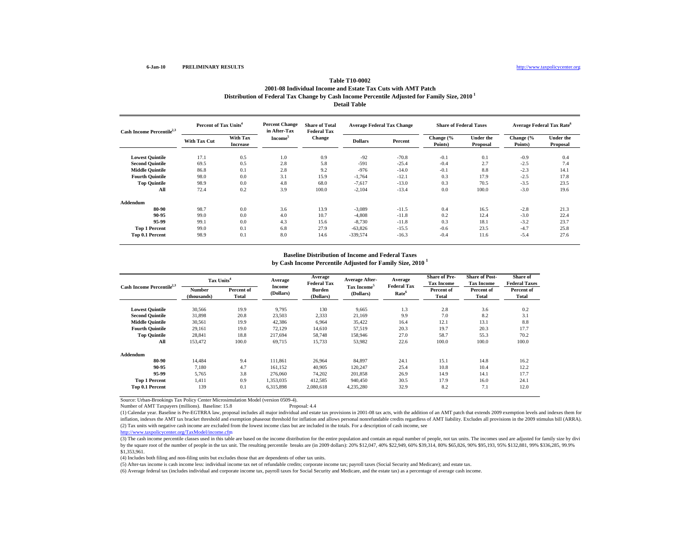#### **Distribution of Federal Tax Change by Cash Income Percentile Adjusted for Family Size, 2010 1 Detail TableTable T10-00022001-08 Individual Income and Estate Tax Cuts with AMT Patch**

| Cash Income Percentile <sup>2,3</sup> | Percent of Tax Units <sup>4</sup> |                                    | <b>Percent Change</b><br>in After-Tax | <b>Share of Total</b><br><b>Federal Tax</b> | <b>Average Federal Tax Change</b> |         | <b>Share of Federal Taxes</b> |                              | Average Federal Tax Rate <sup>6</sup> |                              |
|---------------------------------------|-----------------------------------|------------------------------------|---------------------------------------|---------------------------------------------|-----------------------------------|---------|-------------------------------|------------------------------|---------------------------------------|------------------------------|
|                                       | With Tax Cut                      | <b>With Tax</b><br><b>Increase</b> | Income <sup>5</sup>                   | <b>Change</b>                               | <b>Dollars</b>                    | Percent | Change (%<br>Points)          | <b>Under the</b><br>Proposal | Change (%<br>Points)                  | <b>Under the</b><br>Proposal |
| <b>Lowest Quintile</b>                | 17.1                              | 0.5                                | 1.0                                   | 0.9                                         | $-92$                             | $-70.8$ | $-0.1$                        | 0.1                          | $-0.9$                                | 0.4                          |
| <b>Second Quintile</b>                | 69.5                              | 0.5                                | 2.8                                   | 5.8                                         | $-591$                            | $-25.4$ | $-0.4$                        | 2.7                          | $-2.5$                                | 7.4                          |
| <b>Middle Quintile</b>                | 86.8                              | 0.1                                | 2.8                                   | 9.2                                         | $-976$                            | $-14.0$ | $-0.1$                        | 8.8                          | $-2.3$                                | 14.1                         |
| <b>Fourth Quintile</b>                | 98.0                              | 0.0                                | 3.1                                   | 15.9                                        | $-1,764$                          | $-12.1$ | 0.3                           | 17.9                         | $-2.5$                                | 17.8                         |
| <b>Top Quintile</b>                   | 98.9                              | 0.0                                | 4.8                                   | 68.0                                        | $-7,617$                          | $-13.0$ | 0.3                           | 70.5                         | $-3.5$                                | 23.5                         |
| All                                   | 72.4                              | 0.2                                | 3.9                                   | 100.0                                       | $-2,104$                          | $-13.4$ | 0.0                           | 100.0                        | $-3.0$                                | 19.6                         |
| Addendum                              |                                   |                                    |                                       |                                             |                                   |         |                               |                              |                                       |                              |
| 80-90                                 | 98.7                              | 0.0                                | 3.6                                   | 13.9                                        | $-3,089$                          | $-11.5$ | 0.4                           | 16.5                         | $-2.8$                                | 21.3                         |
| 90-95                                 | 99.0                              | 0.0                                | 4.0                                   | 10.7                                        | $-4,808$                          | $-11.8$ | 0.2                           | 12.4                         | $-3.0$                                | 22.4                         |
| 95-99                                 | 99.1                              | 0.0                                | 4.3                                   | 15.6                                        | $-8,730$                          | $-11.8$ | 0.3                           | 18.1                         | $-3.2$                                | 23.7                         |
| <b>Top 1 Percent</b>                  | 99.0                              | 0.1                                | 6.8                                   | 27.9                                        | $-63,826$                         | $-15.5$ | $-0.6$                        | 23.5                         | $-4.7$                                | 25.8                         |
| Top 0.1 Percent                       | 98.9                              | 0.1                                | 8.0                                   | 14.6                                        | $-339,574$                        | $-16.3$ | $-0.4$                        | 11.6                         | $-5.4$                                | 27.6                         |

### **Baseline Distribution of Income and Federal Taxes**

**by Cash Income Percentile Adjusted for Family Size, 2010 <sup>1</sup>**

| Cash Income Percentile <sup>2,3</sup> | Tax Units <sup>4</sup> |                     | Average             | Average<br><b>Federal Tax</b> | <b>Average After-</b>   | Average<br><b>Federal Tax</b> | <b>Share of Pre-</b><br><b>Tax Income</b> | <b>Share of Post-</b><br><b>Tax Income</b> | Share of<br><b>Federal Taxes</b> |
|---------------------------------------|------------------------|---------------------|---------------------|-------------------------------|-------------------------|-------------------------------|-------------------------------------------|--------------------------------------------|----------------------------------|
|                                       | Number<br>(thousands)  | Percent of<br>Total | Income<br>(Dollars) | Burden<br>(Dollars)           | Tax Income<br>(Dollars) | Rate <sup>6</sup>             | Percent of<br><b>Total</b>                | Percent of<br>Total                        | Percent of<br>Total              |
| <b>Lowest Quintile</b>                | 30,566                 | 19.9                | 9,795               | 130                           | 9,665                   | 1.3                           | 2.8                                       | 3.6                                        | 0.2                              |
| <b>Second Quintile</b>                | 31,898                 | 20.8                | 23,503              | 2,333                         | 21,169                  | 9.9                           | 7.0                                       | 8.2                                        | 3.1                              |
| <b>Middle Quintile</b>                | 30,561                 | 19.9                | 42,386              | 6,964                         | 35,422                  | 16.4                          | 12.1                                      | 13.1                                       | 8.8                              |
| <b>Fourth Quintile</b>                | 29,161                 | 19.0                | 72,129              | 14,610                        | 57,519                  | 20.3                          | 19.7                                      | 20.3                                       | 17.7                             |
| <b>Top Quintile</b>                   | 28,841                 | 18.8                | 217.694             | 58,748                        | 158,946                 | 27.0                          | 58.7                                      | 55.3                                       | 70.2                             |
| All                                   | 153,472                | 100.0               | 69,715              | 15,733                        | 53,982                  | 22.6                          | 100.0                                     | 100.0                                      | 100.0                            |
| Addendum                              |                        |                     |                     |                               |                         |                               |                                           |                                            |                                  |
| 80-90                                 | 14.484                 | 9.4                 | 111,861             | 26,964                        | 84,897                  | 24.1                          | 15.1                                      | 14.8                                       | 16.2                             |
| 90-95                                 | 7.180                  | 4.7                 | 161,152             | 40.905                        | 120.247                 | 25.4                          | 10.8                                      | 10.4                                       | 12.2                             |
| 95-99                                 | 5,765                  | 3.8                 | 276,060             | 74,202                        | 201,858                 | 26.9                          | 14.9                                      | 14.1                                       | 17.7                             |
| <b>Top 1 Percent</b>                  | 1.411                  | 0.9                 | 1,353,035           | 412,585                       | 940,450                 | 30.5                          | 17.9                                      | 16.0                                       | 24.1                             |
| Top 0.1 Percent                       | 139                    | 0.1                 | 6,315,898           | 2,080,618                     | 4,235,280               | 32.9                          | 8.2                                       | 7.1                                        | 12.0                             |

Source: Urban-Brookings Tax Policy Center Microsimulation Model (version 0509-4).

Number of AMT Taxpayers (millions). Baseline: 15.8 Proposal: 4.4

(2) Tax units with negative cash income are excluded from the lowest income class but are included in the totals. For a description of cash income, see (1) Calendar year. Baseline is Pre-EGTRRA law, proposal includes all major individual and estate tax provisions in 2001-08 tax acts, with the addition of an AMT patch that extends 2009 exemption levels and indexes them for inflation, indexes the AMT tax bracket threshold and exemption phaseout threshold for inflation and allows personal nonrefundable credits regardless of AMT liability. Excludes all provisions in the 2009 stimulus bill (ARRA).

http://www.taxpolicycenter.org/TaxModel/income.cfm

(3) The cash income percentile classes used in this table are based on the income distribution for the entire population and contain an equal number of people, not tax units. The incomes used are adjusted for family size b by the square root of the number of people in the tax unit. The resulting percentile breaks are (in 2009 dollars): 20% \$12,047, 40% \$22,949, 60% \$39,314, 80% \$65,826, 90% \$95,193, 95% \$132,881, 99% \$336,285, 99.9% \$1,353,961.

(4) Includes both filing and non-filing units but excludes those that are dependents of other tax units.

(5) After-tax income is cash income less: individual income tax net of refundable credits; corporate income tax; payroll taxes (Social Security and Medicare); and estate tax.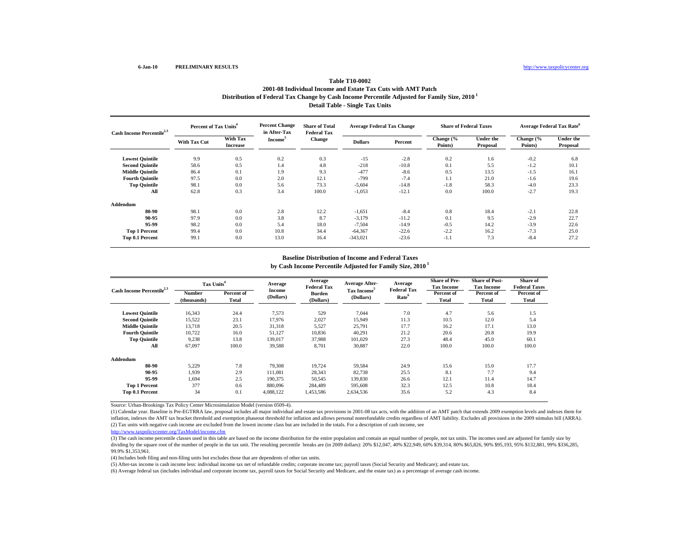### **Distribution of Federal Tax Change by Cash Income Percentile Adjusted for Family Size, 2010 1 Detail Table - Single Tax Units Table T10-00022001-08 Individual Income and Estate Tax Cuts with AMT Patch**

| Cash Income Percentile <sup>2,3</sup> | Percent of Tax Units <sup>4</sup> |                                    | <b>Percent Change</b><br>in After-Tax | <b>Share of Total</b><br><b>Federal Tax</b> | <b>Average Federal Tax Change</b> |         | <b>Share of Federal Taxes</b> |                       | Average Federal Tax Rate <sup>6</sup> |                              |
|---------------------------------------|-----------------------------------|------------------------------------|---------------------------------------|---------------------------------------------|-----------------------------------|---------|-------------------------------|-----------------------|---------------------------------------|------------------------------|
|                                       | <b>With Tax Cut</b>               | <b>With Tax</b><br><b>Increase</b> | Income <sup>3</sup>                   | Change                                      | <b>Dollars</b>                    | Percent | Change (%<br>Points)          | Under the<br>Proposal | Change (%<br>Points)                  | <b>Under the</b><br>Proposal |
| <b>Lowest Quintile</b>                | 9.9                               | 0.5                                | 0.2                                   | 0.3                                         | $-15$                             | $-2.8$  | 0.2                           | 1.6                   | $-0.2$                                | 6.8                          |
| <b>Second Quintile</b>                | 58.6                              | 0.5                                | 1.4                                   | 4.8                                         | $-218$                            | $-10.8$ | 0.1                           | 5.5                   | $-1.2$                                | 10.1                         |
| <b>Middle Quintile</b>                | 86.4                              | 0.1                                | 1.9                                   | 9.3                                         | $-477$                            | $-8.6$  | 0.5                           | 13.5                  | $-1.5$                                | 16.1                         |
| <b>Fourth Quintile</b>                | 97.5                              | 0.0                                | 2.0                                   | 12.1                                        | $-799$                            | $-7.4$  | 1.1                           | 21.0                  | $-1.6$                                | 19.6                         |
| <b>Top Quintile</b>                   | 98.1                              | 0.0                                | 5.6                                   | 73.3                                        | $-5,604$                          | $-14.8$ | $-1.8$                        | 58.3                  | $-4.0$                                | 23.3                         |
| All                                   | 62.8                              | 0.3                                | 3.4                                   | 100.0                                       | $-1,053$                          | $-12.1$ | 0.0                           | 100.0                 | $-2.7$                                | 19.3                         |
| Addendum                              |                                   |                                    |                                       |                                             |                                   |         |                               |                       |                                       |                              |
| 80-90                                 | 98.1                              | 0.0                                | 2.8                                   | 12.2                                        | $-1,651$                          | $-8.4$  | 0.8                           | 18.4                  | $-2.1$                                | 22.8                         |
| 90-95                                 | 97.9                              | 0.0                                | 3.8                                   | 8.7                                         | $-3,179$                          | $-11.2$ | 0.1                           | 9.5                   | $-2.9$                                | 22.7                         |
| 95-99                                 | 98.2                              | 0.0                                | 5.4                                   | 18.0                                        | $-7,504$                          | $-14.9$ | $-0.5$                        | 14.2                  | $-3.9$                                | 22.6                         |
| <b>Top 1 Percent</b>                  | 99.4                              | 0.0                                | 10.8                                  | 34.4                                        | $-64,367$                         | $-22.6$ | $-2.2$                        | 16.2                  | $-7.3$                                | 25.0                         |
| Top 0.1 Percent                       | 99.1                              | 0.0                                | 13.0                                  | 16.4                                        | $-343,021$                        | $-23.6$ | $-1.1$                        | 7.3                   | $-8.4$                                | 27.2                         |

#### **by Cash Income Percentile Adjusted for Family Size, 2010 1 Baseline Distribution of Income and Federal Taxes**

| Cash Income Percentile <sup>2,3</sup> | Tax Units <sup>4</sup>       |                     | Average             | Average<br><b>Federal Tax</b> | Average After-                       | Average<br><b>Federal Tax</b> | <b>Share of Pre-</b><br><b>Tax Income</b> | <b>Share of Post-</b><br><b>Tax Income</b> | Share of<br><b>Federal Taxes</b> |
|---------------------------------------|------------------------------|---------------------|---------------------|-------------------------------|--------------------------------------|-------------------------------|-------------------------------------------|--------------------------------------------|----------------------------------|
|                                       | <b>Number</b><br>(thousands) | Percent of<br>Total | Income<br>(Dollars) | <b>Burden</b><br>(Dollars)    | Tax Income <sup>5</sup><br>(Dollars) | Rate <sup>6</sup>             | Percent of<br><b>Total</b>                | Percent of<br><b>Total</b>                 | Percent of<br><b>Total</b>       |
| <b>Lowest Quintile</b>                | 16,343                       | 24.4                | 7,573               | 529                           | 7,044                                | 7.0                           | 4.7                                       | 5.6                                        | 1.5                              |
| <b>Second Quintile</b>                | 15,522                       | 23.1                | 17,976              | 2,027                         | 15,949                               | 11.3                          | 10.5                                      | 12.0                                       | 5.4                              |
| <b>Middle Ouintile</b>                | 13,718                       | 20.5                | 31,318              | 5,527                         | 25,791                               | 17.7                          | 16.2                                      | 17.1                                       | 13.0                             |
| <b>Fourth Ouintile</b>                | 10.722                       | 16.0                | 51,127              | 10,836                        | 40,291                               | 21.2                          | 20.6                                      | 20.8                                       | 19.9                             |
| <b>Top Quintile</b>                   | 9,238                        | 13.8                | 139,017             | 37.988                        | 101,029                              | 27.3                          | 48.4                                      | 45.0                                       | 60.1                             |
| All                                   | 67.097                       | 100.0               | 39,588              | 8,701                         | 30,887                               | 22.0                          | 100.0                                     | 100.0                                      | 100.0                            |
| Addendum                              |                              |                     |                     |                               |                                      |                               |                                           |                                            |                                  |
| 80-90                                 | 5,229                        | 7.8                 | 79,308              | 19,724                        | 59,584                               | 24.9                          | 15.6                                      | 15.0                                       | 17.7                             |
| 90-95                                 | 1.939                        | 2.9                 | 111.081             | 28,343                        | 82,738                               | 25.5                          | 8.1                                       | 7.7                                        | 9.4                              |
| 95-99                                 | 1,694                        | 2.5                 | 190,375             | 50,545                        | 139,830                              | 26.6                          | 12.1                                      | 11.4                                       | 14.7                             |
| <b>Top 1 Percent</b>                  | 377                          | 0.6                 | 880,096             | 284,489                       | 595,608                              | 32.3                          | 12.5                                      | 10.8                                       | 18.4                             |
| Top 0.1 Percent                       | 34                           | 0.1                 | 4,088,122           | 1,453,586                     | 2,634,536                            | 35.6                          | 5.2                                       | 4.3                                        | 8.4                              |

Source: Urban-Brookings Tax Policy Center Microsimulation Model (version 0509-4).

(2) Tax units with negative cash income are excluded from the lowest income class but are included in the totals. For a description of cash income, see (1) Calendar year. Baseline is Pre-EGTRRA law, proposal includes all major individual and estate tax provisions in 2001-08 tax acts, with the addition of an AMT patch that extends 2009 exemption levels and indexes them for inflation, indexes the AMT tax bracket threshold and exemption phaseout threshold for inflation and allows personal nonrefundable credits regardless of AMT liability. Excludes all provisions in the 2009 stimulus bill (ARRA).

http://www.taxpolicycenter.org/TaxModel/income.cfm

(3) The cash income percentile classes used in this table are based on the income distribution for the entire population and contain an equal number of people, not tax units. The incomes used are adjusted for family size b dividing by the square root of the number of people in the tax unit. The resulting percentile breaks are (in 2009 dollars): 20% \$12,047, 40% \$22,949, 60% \$39,314, 80% \$65,826, 90% \$95,193, 95% \$132,881, 99% \$336,285, 99.9% \$1,353,961.

(4) Includes both filing and non-filing units but excludes those that are dependents of other tax units.

(5) After-tax income is cash income less: individual income tax net of refundable credits; corporate income tax; payroll taxes (Social Security and Medicare); and estate tax.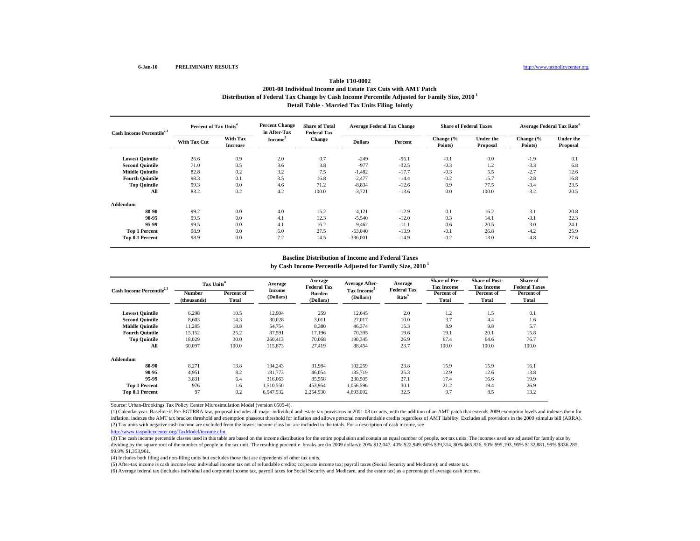### **Distribution of Federal Tax Change by Cash Income Percentile Adjusted for Family Size, 2010 1 Detail Table - Married Tax Units Filing Jointly Table T10-00022001-08 Individual Income and Estate Tax Cuts with AMT Patch**

| Cash Income Percentile <sup>2,3</sup> | Percent of Tax Units <sup>4</sup> |                                    | <b>Percent Change</b><br>in After-Tax | <b>Share of Total</b><br><b>Federal Tax</b> | <b>Average Federal Tax Change</b> |         | <b>Share of Federal Taxes</b> |                              | Average Federal Tax Rate <sup>6</sup> |                       |
|---------------------------------------|-----------------------------------|------------------------------------|---------------------------------------|---------------------------------------------|-----------------------------------|---------|-------------------------------|------------------------------|---------------------------------------|-----------------------|
|                                       | <b>With Tax Cut</b>               | <b>With Tax</b><br><b>Increase</b> | <b>Income</b>                         | <b>Change</b>                               | <b>Dollars</b>                    | Percent | Change (%<br>Points)          | <b>Under the</b><br>Proposal | Change (%<br>Points)                  | Under the<br>Proposal |
| <b>Lowest Quintile</b>                | 26.6                              | 0.9                                | 2.0                                   | 0.7                                         | $-249$                            | $-96.1$ | $-0.1$                        | 0.0                          | $-1.9$                                | 0.1                   |
| <b>Second Quintile</b>                | 71.0                              | 0.5                                | 3.6                                   | 3.8                                         | $-977$                            | $-32.5$ | $-0.3$                        | 1.2                          | $-3.3$                                | 6.8                   |
| <b>Middle Quintile</b>                | 82.8                              | 0.2                                | 3.2                                   | 7.5                                         | $-1,482$                          | $-17.7$ | $-0.3$                        | 5.5                          | $-2.7$                                | 12.6                  |
| <b>Fourth Quintile</b>                | 98.3                              | 0.1                                | 3.5                                   | 16.8                                        | $-2,477$                          | $-14.4$ | $-0.2$                        | 15.7                         | $-2.8$                                | 16.8                  |
| <b>Top Quintile</b>                   | 99.3                              | 0.0                                | 4.6                                   | 71.2                                        | $-8,834$                          | $-12.6$ | 0.9                           | 77.5                         | $-3.4$                                | 23.5                  |
| All                                   | 83.2                              | 0.2                                | 4.2                                   | 100.0                                       | $-3,721$                          | $-13.6$ | 0.0                           | 100.0                        | $-3.2$                                | 20.5                  |
| Addendum                              |                                   |                                    |                                       |                                             |                                   |         |                               |                              |                                       |                       |
| 80-90                                 | 99.2                              | 0.0                                | 4.0                                   | 15.2                                        | $-4,121$                          | $-12.9$ | 0.1                           | 16.2                         | $-3.1$                                | 20.8                  |
| 90-95                                 | 99.5                              | 0.0                                | 4.1                                   | 12.3                                        | $-5,540$                          | $-12.0$ | 0.3                           | 14.1                         | $-3.1$                                | 22.3                  |
| 95-99                                 | 99.5                              | 0.0                                | 4.1                                   | 16.2                                        | $-9.462$                          | $-11.1$ | 0.6                           | 20.5                         | $-3.0$                                | 24.1                  |
| <b>Top 1 Percent</b>                  | 98.9                              | 0.0                                | 6.0                                   | 27.5                                        | $-63,040$                         | $-13.9$ | $-0.1$                        | 26.8                         | $-4.2$                                | 25.9                  |
| Top 0.1 Percent                       | 98.9                              | 0.0                                | 7.2                                   | 14.5                                        | $-336,001$                        | $-14.9$ | $-0.2$                        | 13.0                         | $-4.8$                                | 27.6                  |

#### **by Cash Income Percentile Adjusted for Family Size, 2010 1 Baseline Distribution of Income and Federal Taxes**

| Cash Income Percentile <sup>2,3</sup> | Tax Units <sup>4</sup>       |                     | Average                    | Average<br><b>Federal Tax</b> | <b>Average After-</b>                | Average<br><b>Federal Tax</b> | <b>Share of Pre-</b><br><b>Tax Income</b> | <b>Share of Post-</b><br><b>Tax Income</b> | Share of<br><b>Federal Taxes</b> |
|---------------------------------------|------------------------------|---------------------|----------------------------|-------------------------------|--------------------------------------|-------------------------------|-------------------------------------------|--------------------------------------------|----------------------------------|
|                                       | <b>Number</b><br>(thousands) | Percent of<br>Total | <b>Income</b><br>(Dollars) | <b>Burden</b><br>(Dollars)    | Tax Income <sup>5</sup><br>(Dollars) | Rate <sup>6</sup>             | Percent of<br><b>Total</b>                | Percent of<br>Total                        | Percent of<br>Total              |
| <b>Lowest Quintile</b>                | 6,298                        | 10.5                | 12,904                     | 259                           | 12,645                               | 2.0                           | 1.2                                       | 1.5                                        | 0.1                              |
| <b>Second Ouintile</b>                | 8,603                        | 14.3                | 30,028                     | 3.011                         | 27.017                               | 10.0                          | 3.7                                       | 4.4                                        | 1.6                              |
| <b>Middle Ouintile</b>                | 11,285                       | 18.8                | 54,754                     | 8,380                         | 46,374                               | 15.3                          | 8.9                                       | 9.8                                        | 5.7                              |
| <b>Fourth Ouintile</b>                | 15,152                       | 25.2                | 87,591                     | 17,196                        | 70,395                               | 19.6                          | 19.1                                      | 20.1                                       | 15.8                             |
| <b>Top Quintile</b>                   | 18,029                       | 30.0                | 260,413                    | 70,068                        | 190,345                              | 26.9                          | 67.4                                      | 64.6                                       | 76.7                             |
| All                                   | 60.097                       | 100.0               | 115,873                    | 27,419                        | 88,454                               | 23.7                          | 100.0                                     | 100.0                                      | 100.0                            |
| Addendum                              |                              |                     |                            |                               |                                      |                               |                                           |                                            |                                  |
| 80-90                                 | 8,271                        | 13.8                | 134,243                    | 31,984                        | 102,259                              | 23.8                          | 15.9                                      | 15.9                                       | 16.1                             |
| 90-95                                 | 4,951                        | 8.2                 | 181,773                    | 46,054                        | 135,719                              | 25.3                          | 12.9                                      | 12.6                                       | 13.8                             |
| 95-99                                 | 3,831                        | 6.4                 | 316,063                    | 85,558                        | 230,505                              | 27.1                          | 17.4                                      | 16.6                                       | 19.9                             |
| <b>Top 1 Percent</b>                  | 976                          | 1.6                 | 1,510,550                  | 453.954                       | 1,056,596                            | 30.1                          | 21.2                                      | 19.4                                       | 26.9                             |
| Top 0.1 Percent                       | 97                           | 0.2                 | 6,947,932                  | 2,254,930                     | 4,693,002                            | 32.5                          | 9.7                                       | 8.5                                        | 13.2                             |

Source: Urban-Brookings Tax Policy Center Microsimulation Model (version 0509-4).

(2) Tax units with negative cash income are excluded from the lowest income class but are included in the totals. For a description of cash income, see (1) Calendar year. Baseline is Pre-EGTRRA law, proposal includes all major individual and estate tax provisions in 2001-08 tax acts, with the addition of an AMT patch that extends 2009 exemption levels and indexes them for inflation, indexes the AMT tax bracket threshold and exemption phaseout threshold for inflation and allows personal nonrefundable credits regardless of AMT liability. Excludes all provisions in the 2009 stimulus bill (ARRA).

http://www.taxpolicycenter.org/TaxModel/income.cfm

(3) The cash income percentile classes used in this table are based on the income distribution for the entire population and contain an equal number of people, not tax units. The incomes used are adjusted for family size b dividing by the square root of the number of people in the tax unit. The resulting percentile breaks are (in 2009 dollars): 20% \$12,047, 40% \$22,949, 60% \$39,314, 80% \$65,826, 90% \$95,193, 95% \$132,881, 99% \$336,285, 90% \$ 99.9% \$1,353,961.

(4) Includes both filing and non-filing units but excludes those that are dependents of other tax units.

(5) After-tax income is cash income less: individual income tax net of refundable credits; corporate income tax; payroll taxes (Social Security and Medicare); and estate tax.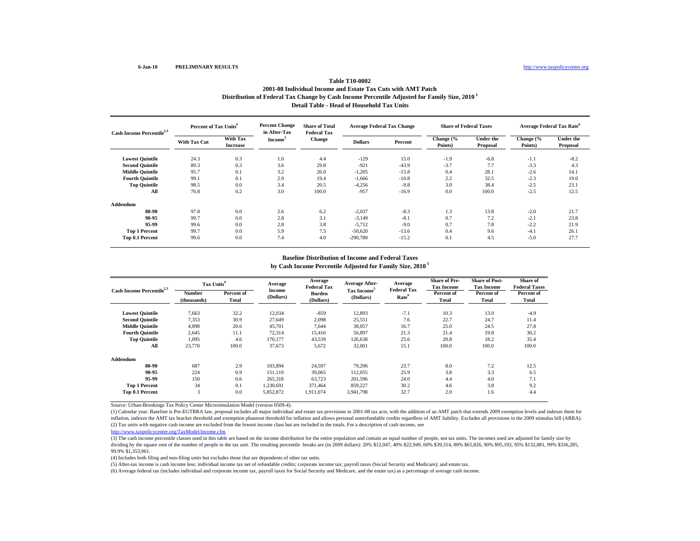### **Distribution of Federal Tax Change by Cash Income Percentile Adjusted for Family Size, 2010 1 Detail Table - Head of Household Tax Units Table T10-00022001-08 Individual Income and Estate Tax Cuts with AMT Patch**

| Cash Income Percentile <sup>2,3</sup> | Percent of Tax Units <sup>4</sup> |                                    | <b>Percent Change</b><br>in After-Tax | <b>Share of Total</b><br><b>Federal Tax</b> | <b>Average Federal Tax Change</b> |         | <b>Share of Federal Taxes</b> |                              | Average Federal Tax Rate <sup>6</sup> |                              |
|---------------------------------------|-----------------------------------|------------------------------------|---------------------------------------|---------------------------------------------|-----------------------------------|---------|-------------------------------|------------------------------|---------------------------------------|------------------------------|
|                                       | <b>With Tax Cut</b>               | <b>With Tax</b><br><b>Increase</b> | Income <sup>3</sup>                   | Change                                      | <b>Dollars</b>                    | Percent | Change (%<br>Points)          | <b>Under the</b><br>Proposal | Change (%<br>Points)                  | <b>Under the</b><br>Proposal |
| <b>Lowest Quintile</b>                | 24.3                              | 0.3                                | 1.0                                   | 4.4                                         | $-129$                            | 15.0    | $-1.9$                        | $-6.8$                       | $-1.1$                                | $-8.2$                       |
| <b>Second Quintile</b>                | 89.3                              | 0.3                                | 3.6                                   | 29.8                                        | $-921$                            | $-43.9$ | $-3.7$                        | 7.7                          | $-3.3$                                | 4.3                          |
| <b>Middle Quintile</b>                | 95.7                              | 0.1                                | 3.2                                   | 26.0                                        | $-1,205$                          | $-15.8$ | 0.4                           | 28.1                         | $-2.6$                                | 14.1                         |
| <b>Fourth Quintile</b>                | 99.1                              | 0.1                                | 2.9                                   | 19.4                                        | $-1,666$                          | $-10.8$ | 2.2                           | 32.5                         | $-2.3$                                | 19.0                         |
| <b>Top Quintile</b>                   | 98.5                              | 0.0                                | 3.4                                   | 20.5                                        | $-4,256$                          | $-9.8$  | 3.0                           | 38.4                         | $-2.5$                                | 23.1                         |
| All                                   | 70.8                              | 0.2                                | 3.0                                   | 100.0                                       | $-957$                            | $-16.9$ | 0.0                           | 100.0                        | $-2.5$                                | 12.5                         |
| Addendum                              |                                   |                                    |                                       |                                             |                                   |         |                               |                              |                                       |                              |
| 80-90                                 | 97.8                              | 0.0                                | 2.6                                   | 6.2                                         | $-2,037$                          | $-8.3$  | 1.3                           | 13.8                         | $-2.0$                                | 21.7                         |
| 90-95                                 | 99.7                              | 0.0                                | 2.8                                   | 3.1                                         | $-3,149$                          | $-8.1$  | 0.7                           | 7.2                          | $-2.1$                                | 23.8                         |
| 95-99                                 | 99.6                              | 0.0                                | 2.8                                   | 3.8                                         | $-5,712$                          | $-9.0$  | 0.7                           | 7.8                          | $-2.2$                                | 21.9                         |
| <b>Top 1 Percent</b>                  | 99.7                              | 0.0                                | 5.9                                   | 7.5                                         | $-50,620$                         | $-13.6$ | 0.4                           | 9.6                          | $-4.1$                                | 26.1                         |
| Top 0.1 Percent                       | 99.6                              | 0.0                                | 7.4                                   | 4.0                                         | $-290,780$                        | $-15.2$ | 0.1                           | 4.5                          | $-5.0$                                | 27.7                         |

#### **by Cash Income Percentile Adjusted for Family Size, 2010 1 Baseline Distribution of Income and Federal Taxes**

| Cash Income Percentile <sup>2,3</sup> |                              | Tax Units <sup>4</sup> |                            | Average<br><b>Federal Tax</b> | <b>Average After-</b>                | Average<br><b>Federal Tax</b> | <b>Share of Pre-</b><br><b>Tax Income</b> | <b>Share of Post-</b><br><b>Tax Income</b> | Share of<br><b>Federal Taxes</b> |
|---------------------------------------|------------------------------|------------------------|----------------------------|-------------------------------|--------------------------------------|-------------------------------|-------------------------------------------|--------------------------------------------|----------------------------------|
|                                       | <b>Number</b><br>(thousands) | Percent of<br>Total    | <b>Income</b><br>(Dollars) | <b>Burden</b><br>(Dollars)    | Tax Income <sup>5</sup><br>(Dollars) | Rate <sup>6</sup>             | Percent of<br><b>Total</b>                | Percent of<br>Total                        | Percent of<br>Total              |
| <b>Lowest Quintile</b>                | 7.663                        | 32.2                   | 12,034                     | $-859$                        | 12,893                               | $-7.1$                        | 10.3                                      | 13.0                                       | $-4.9$                           |
| <b>Second Ouintile</b>                | 7,353                        | 30.9                   | 27,649                     | 2.098                         | 25,551                               | 7.6                           | 22.7                                      | 24.7                                       | 11.4                             |
| <b>Middle Quintile</b>                | 4,898                        | 20.6                   | 45,701                     | 7.644                         | 38,057                               | 16.7                          | 25.0                                      | 24.5                                       | 27.8                             |
| <b>Fourth Ouintile</b>                | 2,645                        | 11.1                   | 72,314                     | 15,416                        | 56,897                               | 21.3                          | 21.4                                      | 19.8                                       | 30.2                             |
| <b>Top Quintile</b>                   | 1,095                        | 4.6                    | 170,177                    | 43,539                        | 126,638                              | 25.6                          | 20.8                                      | 18.2                                       | 35.4                             |
| All                                   | 23,770                       | 100.0                  | 37,673                     | 5,672                         | 32,001                               | 15.1                          | 100.0                                     | 100.0                                      | 100.0                            |
| <b>Addendum</b>                       |                              |                        |                            |                               |                                      |                               |                                           |                                            |                                  |
| 80-90                                 | 687                          | 2.9                    | 103,894                    | 24,597                        | 79,296                               | 23.7                          | 8.0                                       | 7.2                                        | 12.5                             |
| 90-95                                 | 224                          | 0.9                    | 151.119                    | 39,065                        | 112,055                              | 25.9                          | 3.8                                       | 3.3                                        | 6.5                              |
| 95-99                                 | 150                          | 0.6                    | 265,318                    | 63,723                        | 201,596                              | 24.0                          | 4.4                                       | 4.0                                        | 7.1                              |
| <b>Top 1 Percent</b>                  | 34                           | 0.1                    | 1,230,691                  | 371.464                       | 859,227                              | 30.2                          | 4.6                                       | 3.8                                        | 9.2                              |
| Top 0.1 Percent                       | 3                            | 0.0                    | 5,852,872                  | 1,911,074                     | 3,941,798                            | 32.7                          | 2.0                                       | 1.6                                        | 4.4                              |

Source: Urban-Brookings Tax Policy Center Microsimulation Model (version 0509-4).

(2) Tax units with negative cash income are excluded from the lowest income class but are included in the totals. For a description of cash income, see (1) Calendar year. Baseline is Pre-EGTRRA law, proposal includes all major individual and estate tax provisions in 2001-08 tax acts, with the addition of an AMT patch that extends 2009 exemption levels and indexes them for inflation, indexes the AMT tax bracket threshold and exemption phaseout threshold for inflation and allows personal nonrefundable credits regardless of AMT liability. Excludes all provisions in the 2009 stimulus bill (ARRA).

http://www.taxpolicycenter.org/TaxModel/income.cfm

(3) The cash income percentile classes used in this table are based on the income distribution for the entire population and contain an equal number of people, not tax units. The incomes used are adjusted for family size b dividing by the square root of the number of people in the tax unit. The resulting percentile breaks are (in 2009 dollars): 20% \$12,047, 40% \$22,949, 60% \$39,314, 80% \$65,826, 90% \$95,193, 95% \$132,881, 99% \$336,285, 99.9% \$1,353,961.

(4) Includes both filing and non-filing units but excludes those that are dependents of other tax units.

(5) After-tax income is cash income less: individual income tax net of refundable credits; corporate income tax; payroll taxes (Social Security and Medicare); and estate tax.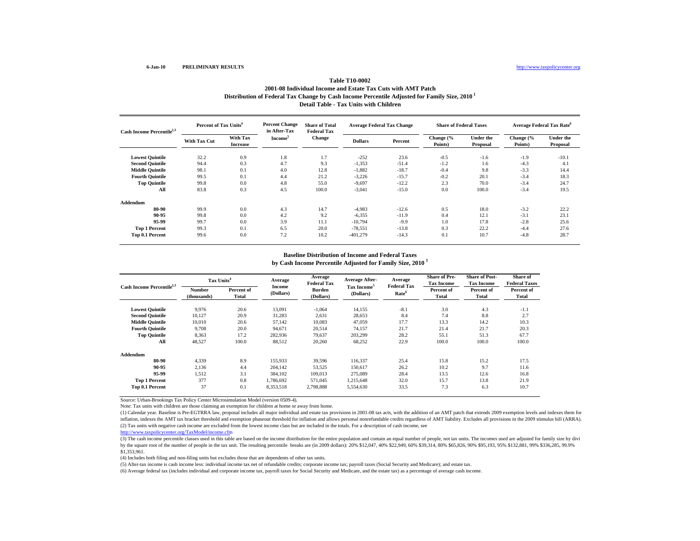### **Distribution of Federal Tax Change by Cash Income Percentile Adjusted for Family Size, 2010 1 Detail Table - Tax Units with ChildrenTable T10-00022001-08 Individual Income and Estate Tax Cuts with AMT Patch**

| Cash Income Percentile <sup>2,3</sup> | Percent of Tax Units <sup>4</sup> |                             | <b>Percent Change</b><br>in After-Tax | <b>Share of Total</b><br><b>Federal Tax</b> | <b>Average Federal Tax Change</b> |         | <b>Share of Federal Taxes</b> |                              | Average Federal Tax Rate <sup>6</sup> |                              |
|---------------------------------------|-----------------------------------|-----------------------------|---------------------------------------|---------------------------------------------|-----------------------------------|---------|-------------------------------|------------------------------|---------------------------------------|------------------------------|
|                                       | With Tax Cut                      | With Tax<br><b>Increase</b> | Income <sup>5</sup>                   | <b>Change</b>                               | <b>Dollars</b>                    | Percent | Change (%<br>Points)          | <b>Under the</b><br>Proposal | Change (%<br>Points)                  | <b>Under the</b><br>Proposal |
| <b>Lowest Quintile</b>                | 32.2                              | 0.9                         | 1.8                                   | 1.7                                         | $-252$                            | 23.6    | $-0.5$                        | $-1.6$                       | $-1.9$                                | $-10.1$                      |
| <b>Second Quintile</b>                | 94.4                              | 0.3                         | 4.7                                   | 9.3                                         | $-1,353$                          | $-51.4$ | $-1.2$                        | 1.6                          | $-4.3$                                | 4.1                          |
| <b>Middle Quintile</b>                | 98.1                              | 0.1                         | 4.0                                   | 12.8                                        | $-1,882$                          | $-18.7$ | $-0.4$                        | 9.8                          | $-3.3$                                | 14.4                         |
| <b>Fourth Quintile</b>                | 99.5                              | 0.1                         | 4.4                                   | 21.2                                        | $-3,226$                          | $-15.7$ | $-0.2$                        | 20.1                         | $-3.4$                                | 18.3                         |
| <b>Top Quintile</b>                   | 99.8                              | 0.0                         | 4.8                                   | 55.0                                        | $-9,697$                          | $-12.2$ | 2.3                           | 70.0                         | $-3.4$                                | 24.7                         |
| All                                   | 83.8                              | 0.3                         | 4.5                                   | 100.0                                       | $-3,041$                          | $-15.0$ | 0.0                           | 100.0                        | $-3.4$                                | 19.5                         |
| Addendum                              |                                   |                             |                                       |                                             |                                   |         |                               |                              |                                       |                              |
| 80-90                                 | 99.9                              | 0.0                         | 4.3                                   | 14.7                                        | $-4,983$                          | $-12.6$ | 0.5                           | 18.0                         | $-3.2$                                | 22.2                         |
| 90-95                                 | 99.8                              | 0.0                         | 4.2                                   | 9.2                                         | $-6,355$                          | $-11.9$ | 0.4                           | 12.1                         | $-3.1$                                | 23.1                         |
| 95-99                                 | 99.7                              | 0.0                         | 3.9                                   | 11.1                                        | $-10,794$                         | $-9.9$  | 1.0                           | 17.8                         | $-2.8$                                | 25.6                         |
| <b>Top 1 Percent</b>                  | 99.3                              | 0.1                         | 6.5                                   | 20.0                                        | $-78,551$                         | $-13.8$ | 0.3                           | 22.2                         | $-4.4$                                | 27.6                         |
| Top 0.1 Percent                       | 99.6                              | 0.0                         | 7.2                                   | 10.2                                        | $-401,279$                        | $-14.3$ | 0.1                           | 10.7                         | $-4.8$                                | 28.7                         |

# **Baseline Distribution of Income and Federal Taxes**

**by Cash Income Percentile Adjusted for Family Size, 2010 <sup>1</sup>**

| Cash Income Percentile <sup>2,3</sup> | Tax Units <sup>4</sup> |                     | Average                    | Average<br><b>Federal Tax</b> | <b>Average After-</b>                | Average                                 | <b>Share of Pre-</b><br><b>Tax Income</b> | <b>Share of Post-</b><br><b>Tax Income</b> | Share of<br><b>Federal Taxes</b> |
|---------------------------------------|------------------------|---------------------|----------------------------|-------------------------------|--------------------------------------|-----------------------------------------|-------------------------------------------|--------------------------------------------|----------------------------------|
|                                       | Number<br>(thousands)  | Percent of<br>Total | <b>Income</b><br>(Dollars) | Burden<br>(Dollars)           | Tax Income <sup>5</sup><br>(Dollars) | <b>Federal Tax</b><br>Rate <sup>6</sup> | Percent of<br>Total                       | Percent of<br>Total                        | Percent of<br>Total              |
| <b>Lowest Quintile</b>                | 9,976                  | 20.6                | 13,091                     | $-1,064$                      | 14,155                               | $-8.1$                                  | 3.0                                       | 4.3                                        | $-1.1$                           |
| <b>Second Quintile</b>                | 10,127                 | 20.9                | 31,283                     | 2,631                         | 28,653                               | 8.4                                     | 7.4                                       | 8.8                                        | 2.7                              |
| <b>Middle Ouintile</b>                | 10.010                 | 20.6                | 57,142                     | 10,083                        | 47.059                               | 17.7                                    | 13.3                                      | 14.2                                       | 10.3                             |
| <b>Fourth Ouintile</b>                | 9.708                  | 20.0                | 94.671                     | 20,514                        | 74.157                               | 21.7                                    | 21.4                                      | 21.7                                       | 20.3                             |
| <b>Top Quintile</b>                   | 8,363                  | 17.2                | 282,936                    | 79,637                        | 203,299                              | 28.2                                    | 55.1                                      | 51.3                                       | 67.7                             |
| All                                   | 48,527                 | 100.0               | 88,512                     | 20,260                        | 68,252                               | 22.9                                    | 100.0                                     | 100.0                                      | 100.0                            |
| Addendum                              |                        |                     |                            |                               |                                      |                                         |                                           |                                            |                                  |
| 80-90                                 | 4,339                  | 8.9                 | 155,933                    | 39,596                        | 116,337                              | 25.4                                    | 15.8                                      | 15.2                                       | 17.5                             |
| 90-95                                 | 2,136                  | 4.4                 | 204.142                    | 53,525                        | 150,617                              | 26.2                                    | 10.2                                      | 9.7                                        | 11.6                             |
| 95-99                                 | 1.512                  | 3.1                 | 384,102                    | 109,013                       | 275,089                              | 28.4                                    | 13.5                                      | 12.6                                       | 16.8                             |
| <b>Top 1 Percent</b>                  | 377                    | 0.8                 | 1,786,692                  | 571,045                       | 1,215,648                            | 32.0                                    | 15.7                                      | 13.8                                       | 21.9                             |
| <b>Top 0.1 Percent</b>                | 37                     | 0.1                 | 8,353,518                  | 2,798,888                     | 5,554,630                            | 33.5                                    | 7.3                                       | 6.3                                        | 10.7                             |

Source: Urban-Brookings Tax Policy Center Microsimulation Model (version 0509-4).

Note: Tax units with children are those claiming an exemption for children at home or away from home.

(2) Tax units with negative cash income are excluded from the lowest income class but are included in the totals. For a description of cash income, see (1) Calendar year. Baseline is Pre-EGTRRA law, proposal includes all major individual and estate tax provisions in 2001-08 tax acts, with the addition of an AMT patch that extends 2009 exemption levels and indexes them for inflation, indexes the AMT tax bracket threshold and exemption phaseout threshold for inflation and allows personal nonrefundable credits regardless of AMT liability. Excludes all provisions in the 2009 stimulus bill (ARRA).

http://www.taxpolicycenter.org/TaxModel/income.cfm

(3) The cash income percentile classes used in this table are based on the income distribution for the entire population and contain an equal number of people, not tax units. The incomes used are adjusted for family size b by the square root of the number of people in the tax unit. The resulting percentile breaks are (in 2009 dollars): 20% \$12,047, 40% \$22,949, 60% \$39,314, 80% \$65,826, 90% \$95,193, 95% \$132,881, 99% \$336,285, 99.9% \$1,353,961.

(4) Includes both filing and non-filing units but excludes those that are dependents of other tax units.

(5) After-tax income is cash income less: individual income tax net of refundable credits; corporate income tax; payroll taxes (Social Security and Medicare); and estate tax.